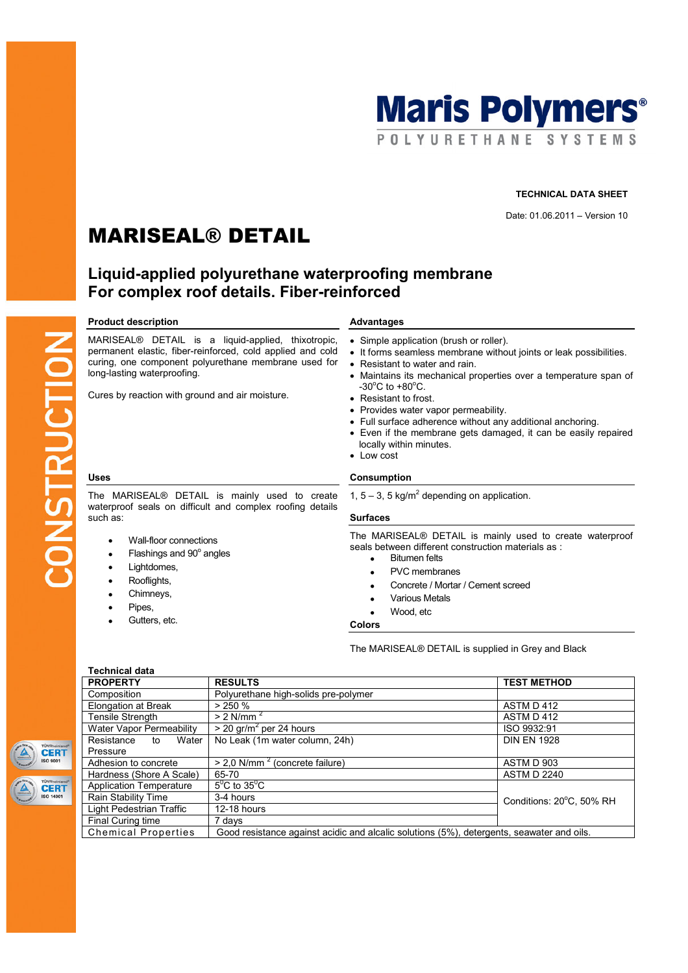

## TECHNICAL DATA SHEET

Date: 01.06.2011 – Version 10

# MARISEAL® DETAIL

## Liquid-applied polyurethane waterproofing membrane For complex roof details. Fiber-reinforced

## Product description and a set of the Advantages

MARISEAL® DETAIL is a liquid-applied, thixotropic, permanent elastic, fiber-reinforced, cold applied and cold curing, one component polyurethane membrane used for long-lasting waterproofing.

Cures by reaction with ground and air moisture.

The MARISEAL® DETAIL is mainly used to create waterproof seals on difficult and complex roofing details such as:

- Wall-floor connections
- Flashings and  $90^\circ$  angles
- Lightdomes.
- Rooflights,
- Chimneys,
- Pipes,
- Gutters, etc.

- Simple application (brush or roller).
- It forms seamless membrane without joints or leak possibilities.
- Resistant to water and rain.
- Maintains its mechanical properties over a temperature span of  $-30^{\circ}$ C to  $+80^{\circ}$ C.
- Resistant to frost.
- Provides water vapor permeability.
- Full surface adherence without any additional anchoring.
- Even if the membrane gets damaged, it can be easily repaired locally within minutes.
- Low cost

## Uses Consumption

1,  $5 - 3$ , 5 kg/m<sup>2</sup> depending on application.

## Surfaces

The MARISEAL® DETAIL is mainly used to create waterproof seals between different construction materials as :

- Bitumen felts
- PVC membranes
- Concrete / Mortar / Cement screed
- **Various Metals**
- Wood, etc

Colors

The MARISEAL® DETAIL is supplied in Grey and Black

| TÜVRheinland<br><b>CERT</b><br><b>ISO 9001</b>  |
|-------------------------------------------------|
| TÜVRheinland<br><b>CERT</b><br><b>ISO 14001</b> |

| <b>Technical data</b>                                             |                                                                                           |                          |  |
|-------------------------------------------------------------------|-------------------------------------------------------------------------------------------|--------------------------|--|
| <b>PROPERTY</b>                                                   | <b>RESULTS</b>                                                                            | <b>TEST METHOD</b>       |  |
| Composition                                                       | Polyurethane high-solids pre-polymer                                                      |                          |  |
| Elongation at Break                                               | $> 250 \%$                                                                                | ASTM D 412               |  |
| <b>Tensile Strength</b>                                           | $> 2$ N/mm <sup>2</sup>                                                                   | ASTM D 412               |  |
| Water Vapor Permeability                                          | $>$ 20 gr/m <sup>2</sup> per 24 hours                                                     | ISO 9932:91              |  |
| Resistance<br>Water<br>to                                         | No Leak (1m water column, 24h)                                                            | <b>DIN EN 1928</b>       |  |
| Pressure                                                          |                                                                                           |                          |  |
| Adhesion to concrete                                              | $> 2.0$ N/mm <sup>2</sup> (concrete failure)                                              | ASTM D 903               |  |
| Hardness (Shore A Scale)                                          | 65-70                                                                                     | <b>ASTM D 2240</b>       |  |
| $5^{\circ}$ C to $35^{\circ}$ C<br><b>Application Temperature</b> |                                                                                           |                          |  |
| Rain Stability Time                                               | 3-4 hours                                                                                 | Conditions: 20°C, 50% RH |  |
| Light Pedestrian Traffic                                          | 12-18 hours                                                                               |                          |  |
| Final Curing time                                                 | 7 days                                                                                    |                          |  |
| <b>Chemical Properties</b>                                        | Good resistance against acidic and alcalic solutions (5%), detergents, seawater and oils. |                          |  |